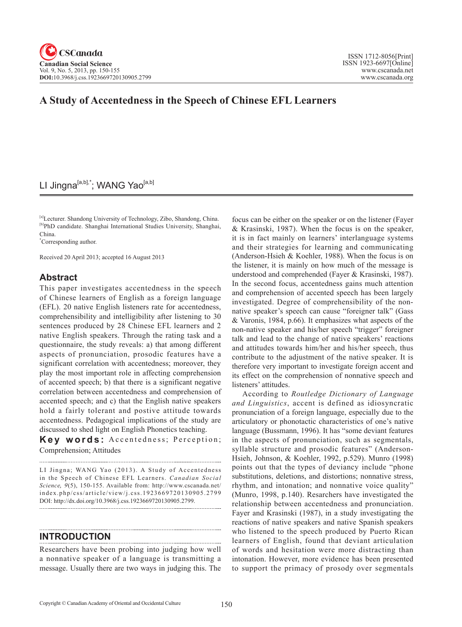# **A Study of Accentedness in the Speech of Chinese EFL Learners**

## LI Jingna<sup>[a,b],\*</sup>; WANG Yao<sup>[a,b]</sup>

[a]Lecturer. Shandong University of Technology, Zibo, Shandong, China. [b]PhD candidate. Shanghai International Studies University, Shanghai, China.

\* Corresponding author.

Received 20 April 2013; accepted 16 August 2013

# **Abstract**

This paper investigates accentedness in the speech of Chinese learners of English as a foreign language (EFL). 20 native English listeners rate for accentedness, comprehensibility and intelligibility after listening to 30 sentences produced by 28 Chinese EFL learners and 2 native English speakers. Through the rating task and a questionnaire, the study reveals: a) that among different aspects of pronunciation, prosodic features have a significant correlation with accentedness; moreover, they play the most important role in affecting comprehension of accented speech; b) that there is a significant negative correlation between accentedness and comprehension of accented speech; and c) that the English native speakers hold a fairly tolerant and postive attitude towards accentedness. Pedagogical implications of the study are discussed to shed light on English Phonetics teaching.

Key words: Accentedness; Perception; Comprehension; Attitudes

LI Jingna; WANG Yao (2013). A Study of Accentedness in the Speech of Chinese EFL Learners. *Canadian Social Science*, 9(5), 150-155. Available from: http://www.cscanada.net/ index.php/css/article/view/j.css.1923669720130905.2799 DOI: http://dx.doi.org/10.3968/j.css.1923669720130905.2799.

## **INTRODUCTION**

Researchers have been probing into judging how well a nonnative speaker of a language is transmitting a message. Usually there are two ways in judging this. The

focus can be either on the speaker or on the listener (Fayer & Krasinski, 1987). When the focus is on the speaker, it is in fact mainly on learners' interlanguage systems and their strategies for learning and communicating (Anderson-Hsieh & Koehler, 1988). When the focus is on the listener, it is mainly on how much of the message is understood and comprehended (Fayer & Krasinski, 1987). In the second focus, accentedness gains much attention and comprehension of accented speech has been largely investigated. Degree of comprehensibility of the nonnative speaker's speech can cause "foreigner talk" (Gass & Varonis, 1984, p.66). It emphasizes what aspects of the non-native speaker and his/her speech "trigger" foreigner talk and lead to the change of native speakers' reactions and attitudes towards him/her and his/her speech, thus contribute to the adjustment of the native speaker. It is therefore very important to investigate foreign accent and its effect on the comprehension of nonnative speech and listeners' attitudes.

According to *Routledge Dictionary of Language and Linguistics*, accent is defined as idiosyncratic pronunciation of a foreign language, especially due to the articulatory or phonotactic characteristics of one's native language (Bussmann, 1996). It has "some deviant features in the aspects of pronunciation, such as segmentals, syllable structure and prosodic features" (Anderson-Hsieh, Johnson, & Koehler, 1992, p.529). Munro (1998) points out that the types of deviancy include "phone substitutions, deletions, and distortions; nonnative stress, rhythm, and intonation; and nonnative voice quality" (Munro, 1998, p.140). Resarchers have investigated the relationship between accentedness and pronunciation. Fayer and Krasinski (1987), in a study investigating the reactions of native speakers and native Spanish speakers who listened to the speech produced by Puerto Rican learners of English, found that deviant articulation of words and hesitation were more distracting than intonation. However, more evidence has been presented to support the primacy of prosody over segmentals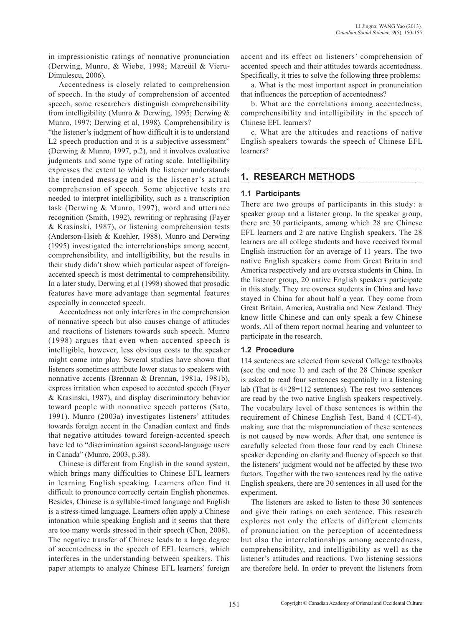in impressionistic ratings of nonnative pronunciation (Derwing, Munro, & Wiebe, 1998; Mareüil & Vieru-Dimulescu, 2006).

Accentedness is closely related to comprehension of speech. In the study of comprehension of accented speech, some researchers distinguish comprehensibility from intelligibility (Munro & Derwing, 1995; Derwing & Munro, 1997; Derwing et al, 1998). Comprehensibility is "the listener's judgment of how difficult it is to understand L2 speech production and it is a subjective assessment" (Derwing & Munro, 1997, p.2), and it involves evaluative judgments and some type of rating scale. Intelligibility expresses the extent to which the listener understands the intended message and is the listener's actual comprehension of speech. Some objective tests are needed to interpret intelligibility, such as a transcription task (Derwing & Munro, 1997), word and utterance recognition (Smith, 1992), rewriting or rephrasing (Fayer & Krasinski, 1987), or listening comprehension tests (Anderson-Hsieh & Koehler, 1988). Munro and Derwing (1995) investigated the interrelationships among accent, comprehensibility, and intelligibility, but the results in their study didn't show which particular aspect of foreignaccented speech is most detrimental to comprehensibility. In a later study, Derwing et al (1998) showed that prosodic features have more advantage than segmental features especially in connected speech.

Accentedness not only interferes in the comprehension of nonnative speech but also causes change of attitudes and reactions of listeners towards such speech. Munro (1998) argues that even when accented speech is intelligible, however, less obvious costs to the speaker might come into play. Several studies have shown that listeners sometimes attribute lower status to speakers with nonnative accents (Brennan & Brennan, 1981a, 1981b), express irritation when exposed to accented speech (Fayer & Krasinski, 1987), and display discriminatory behavior toward people with nonnative speech patterns (Sato, 1991). Munro (2003a) investigates listeners' attitudes towards foreign accent in the Canadian context and finds that negative attitudes toward foreign-accented speech have led to "discrimination against second-language users in Canada" (Munro, 2003, p.38).

Chinese is different from English in the sound system, which brings many difficulties to Chinese EFL learners in learning English speaking. Learners often find it difficult to pronounce correctly certain English phonemes. Besides, Chinese is a syllable-timed language and English is a stress-timed language. Learners often apply a Chinese intonation while speaking English and it seems that there are too many words stressed in their speech (Chen, 2008). The negative transfer of Chinese leads to a large degree of accentedness in the speech of EFL learners, which interferes in the understanding between speakers. This paper attempts to analyze Chinese EFL learners' foreign accent and its effect on listeners' comprehension of accented speech and their attitudes towards accentedness. Specifically, it tries to solve the following three problems:

a. What is the most important aspect in pronunciation that influences the perception of accentedness?

b. What are the correlations among accentedness, comprehensibility and intelligibility in the speech of Chinese EFL learners?

c. What are the attitudes and reactions of native English speakers towards the speech of Chinese EFL learners?

# **1. RESEARCH METHODS**

### **1.1 Participants**

There are two groups of participants in this study: a speaker group and a listener group. In the speaker group, there are 30 participants, among which 28 are Chinese EFL learners and 2 are native English speakers. The 28 learners are all college students and have received formal English instruction for an average of 11 years. The two native English speakers come from Great Britain and America respectively and are oversea students in China. In the listener group, 20 native English speakers participate in this study. They are oversea students in China and have stayed in China for about half a year. They come from Great Britain, America, Australia and New Zealand. They know little Chinese and can only speak a few Chinese words. All of them report normal hearing and volunteer to participate in the research.

### **1.2 Procedure**

114 sentences are selected from several College textbooks (see the end note 1) and each of the 28 Chinese speaker is asked to read four sentences sequentially in a listening lab (That is  $4 \times 28 = 112$  sentences). The rest two sentences are read by the two native English speakers respectively. The vocabulary level of these sentences is within the requirement of Chinese English Test, Band 4 (CET-4), making sure that the mispronunciation of these sentences is not caused by new words. After that, one sentence is carefully selected from those four read by each Chinese speaker depending on clarity and fluency of speech so that the listeners' judgment would not be affected by these two factors. Together with the two sentences read by the native English speakers, there are 30 sentences in all used for the experiment.

The listeners are asked to listen to these 30 sentences and give their ratings on each sentence. This research explores not only the effects of different elements of pronunciation on the perception of accentedness but also the interrelationships among accentedness, comprehensibility, and intelligibility as well as the listener's attitudes and reactions. Two listening sessions are therefore held. In order to prevent the listeners from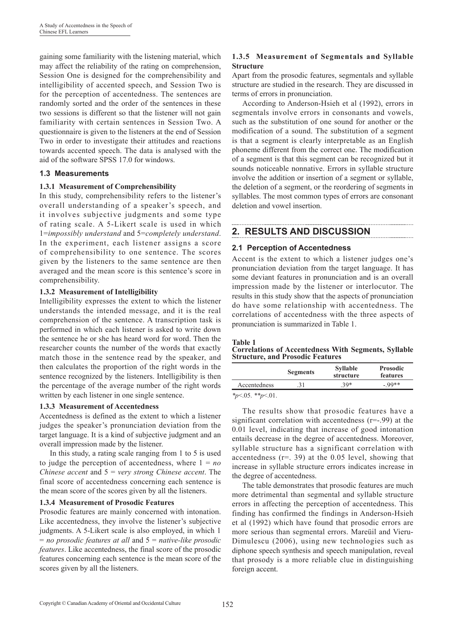gaining some familiarity with the listening material, which may affect the reliability of the rating on comprehension, Session One is designed for the comprehensibility and intelligibility of accented speech, and Session Two is for the perception of accentedness. The sentences are randomly sorted and the order of the sentences in these two sessions is different so that the listener will not gain familiarity with certain sentences in Session Two. A questionnaire is given to the listeners at the end of Session Two in order to investigate their attitudes and reactions towards accented speech. The data is analysed with the aid of the software SPSS 17.0 for windows.

### **1.3 Measurements**

### **1.3.1 Measurement of Comprehensibility**

In this study, comprehensibility refers to the listener's overall understanding of a speaker's speech, and it involves subjective judgments and some type of rating scale. A 5-Likert scale is used in which 1=*impossibly understand* and 5=*completely understand*. In the experiment, each listener assigns a score of comprehensibility to one sentence. The scores given by the listeners to the same sentence are then averaged and the mean score is this sentence's score in comprehensibility.

#### **1.3.2 Measurement of Intelligibility**

Intelligibility expresses the extent to which the listener understands the intended message, and it is the real comprehension of the sentence. A transcription task is performed in which each listener is asked to write down the sentence he or she has heard word for word. Then the researcher counts the number of the words that exactly match those in the sentence read by the speaker, and then calculates the proportion of the right words in the sentence recognized by the listeners. Intelligibility is then the percentage of the average number of the right words written by each listener in one single sentence.

### **1.3.3 Measurement of Accentedness**

Accentedness is defined as the extent to which a listener judges the speaker's pronunciation deviation from the target language. It is a kind of subjective judgment and an overall impression made by the listener.

In this study, a rating scale ranging from 1 to 5 is used to judge the perception of accentedness, where  $1 = no$ *Chinese accent* and 5 = *very strong Chinese accent*. The final score of accentedness concerning each sentence is the mean score of the scores given by all the listeners.

#### **1.3.4 Measurement of Prosodic Features**

Prosodic features are mainly concerned with intonation. Like accentedness, they involve the listener's subjective judgments. A 5-Likert scale is also employed, in which 1 = *no prosodic features at all* and 5 = *native-like prosodic features*. Like accentedness, the final score of the prosodic features concerning each sentence is the mean score of the scores given by all the listeners.

### **1.3.5 Measurement of Segmentals and Syllable Structure**

Apart from the prosodic features, segmentals and syllable structure are studied in the research. They are discussed in terms of errors in pronunciation.

According to Anderson-Hsieh et al (1992), errors in segmentals involve errors in consonants and vowels, such as the substitution of one sound for another or the modification of a sound. The substitution of a segment is that a segment is clearly interpretable as an English phoneme different from the correct one. The modification of a segment is that this segment can be recognized but it sounds noticeable nonnative. Errors in syllable structure involve the addition or insertion of a segment or syllable, the deletion of a segment, or the reordering of segments in syllables. The most common types of errors are consonant deletion and vowel insertion.

# **2. RESULTS AND DISCUSSION**

### **2.1 Perception of Accentedness**

Accent is the extent to which a listener judges one's pronunciation deviation from the target language. It has some deviant features in pronunciation and is an overall impression made by the listener or interlocutor. The results in this study show that the aspects of pronunciation do have some relationship with accentedness. The correlations of accentedness with the three aspects of pronunciation is summarized in Table 1.

#### **Table 1**

#### **Correlations of Accentedness With Segments, Syllable Structure, and Prosodic Features**

|              | <b>Segments</b> | <b>Syllable</b><br>structure | <b>Prosodic</b><br>features |  |
|--------------|-----------------|------------------------------|-----------------------------|--|
| Accentedness | .31             | $30*$                        | $-99**$                     |  |

*\*p*<.05. *\*\*p*<.01.

The results show that prosodic features have a significant correlation with accentedness (r=-.99) at the 0.01 level, indicating that increase of good intonation entails decrease in the degree of accentedness. Moreover, syllable structure has a significant correlation with accentedness (r=. 39) at the 0.05 level, showing that increase in syllable structure errors indicates increase in the degree of accentedness.

The table demonstrates that prosodic features are much more detrimental than segmental and syllable structure errors in affecting the perception of accentedness. This finding has confirmed the findings in Anderson-Hsieh et al (1992) which have found that prosodic errors are more serious than segmental errors. Mareüil and Vieru-Dimulescu (2006), using new technologies such as diphone speech synthesis and speech manipulation, reveal that prosody is a more reliable clue in distinguishing foreign accent.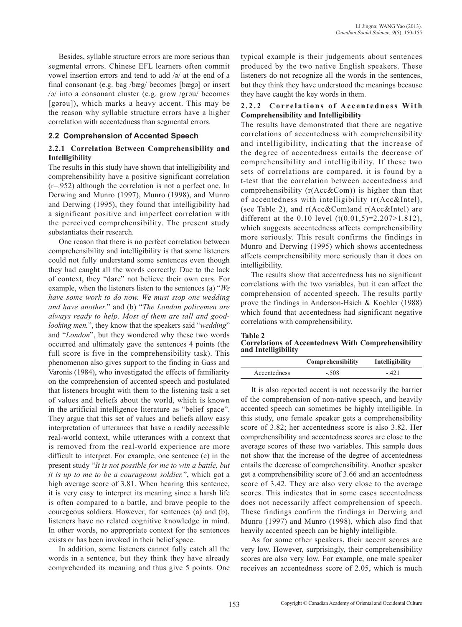Besides, syllable structure errors are more serious than segmental errors. Chinese EFL learners often commit vowel insertion errors and tend to add /ə/ at the end of a final consonant (e.g. bag /bæg/ becomes [bægə] or insert /ə/ into a consonant cluster (e.g. grow /grəu/ becomes [gərəu]), which marks a heavy accent. This may be the reason why syllable structure errors have a higher correlation with accentedness than segmental errors.

#### **2.2 Comprehension of Accented Speech**

#### **2.2.1 Correlation Between Comprehensibility and Intelligibility**

The results in this study have shown that intelligibility and comprehensibility have a positive significant correlation (r=.952) although the correlation is not a perfect one. In Derwing and Munro (1997), Munro (1998), and Munro and Derwing (1995), they found that intelligibility had a significant positive and imperfect correlation with the perceived comprehensibility. The present study substantiates their research.

One reason that there is no perfect correlation between comprehensibility and intelligibility is that some listeners could not fully understand some sentences even though they had caught all the words correctly. Due to the lack of context, they "dare" not believe their own ears. For example, when the listeners listen to the sentences (a) "*We have some work to do now. We must stop one wedding and have another.*" and (b) "*The London policemen are always ready to help. Most of them are tall and goodlooking men.*", they know that the speakers said "*wedding*" and "*London*", but they wondered why these two words occurred and ultimately gave the sentences 4 points (the full score is five in the comprehensibility task). This phenomenon also gives support to the finding in Gass and Varonis (1984), who investigated the effects of familiarity on the comprehension of accented speech and postulated that listeners brought with them to the listening task a set of values and beliefs about the world, which is known in the artificial intelligence literature as "belief space". They argue that this set of values and beliefs allow easy interpretation of utterances that have a readily accessible real-world context, while utterances with a context that is removed from the real-world experience are more difficult to interpret. For example, one sentence (c) in the present study "*It is not possible for me to win a battle, but it is up to me to be a courageous soldier.*", which got a high average score of 3.81. When hearing this sentence, it is very easy to interpret its meaning since a harsh life is often compared to a battle, and brave people to the couregeous soldiers. However, for sentences (a) and (b), listeners have no related cognitive knowledge in mind. In other words, no appropriate context for the sentences exists or has been invoked in their belief space.

In addition, some listeners cannot fully catch all the words in a sentence, but they think they have already comprehended its meaning and thus give 5 points. One typical example is their judgements about sentences produced by the two native English speakers. These listeners do not recognize all the words in the sentences, but they think they have understood the meanings because they have caught the key words in them.

### 2.2.2 Correlations of Accentedness With **Comprehensibility and Intelligibility**

The results have demonstrated that there are negative correlations of accentedness with comprehensibility and intelligibility, indicating that the increase of the degree of accentedness entails the decrease of comprehensibility and intelligibility. If these two sets of correlations are compared, it is found by a t-test that the correlation between accentedness and comprehensibility (r(Acc&Com)) is higher than that of accentedness with intelligibility (r(Acc&Intel), (see Table 2), and r(Acc&Com)and r(Acc&Intel) are different at the 0.10 level  $(t(0.01,5)=2.207>1.812)$ , which suggests accentedness affects comprehensibility more seriously. This result confirms the findings in Munro and Derwing (1995) which shows accentedness affects comprehensibility more seriously than it does on intelligibility.

The results show that accentedness has no significant correlations with the two variables, but it can affect the comprehension of accented speech. The results partly prove the findings in Anderson-Hsieh & Koehler (1988) which found that accentedness had significant negative correlations with comprehensibility.

#### **Table 2 Correlations of Accentedness With Comprehensibility and Intelligibility**

|              | Comprehensibility | Intelligibility |
|--------------|-------------------|-----------------|
| Accentedness | $-.508$           | - 421           |

It is also reported accent is not necessarily the barrier of the comprehension of non-native speech, and heavily accented speech can sometimes be highly intelligible. In this study, one female speaker gets a comprehensibility score of 3.82; her accentedness score is also 3.82. Her comprehensibility and accentedness scores are close to the average scores of these two variables. This sample does not show that the increase of the degree of accentedness entails the decrease of comprehensibility. Another speaker get a comprehensibility score of 3.66 and an accentedness score of 3.42. They are also very close to the average scores. This indicates that in some cases accentedness does not necessarily affect comprehension of speech. These findings confirm the findings in Derwing and Munro (1997) and Munro (1998), which also find that heavily accented speech can be highly intelligible.

As for some other speakers, their accent scores are very low. However, surprisingly, their comprehensibility scores are also very low. For example, one male speaker receives an accentedness score of 2.05, which is much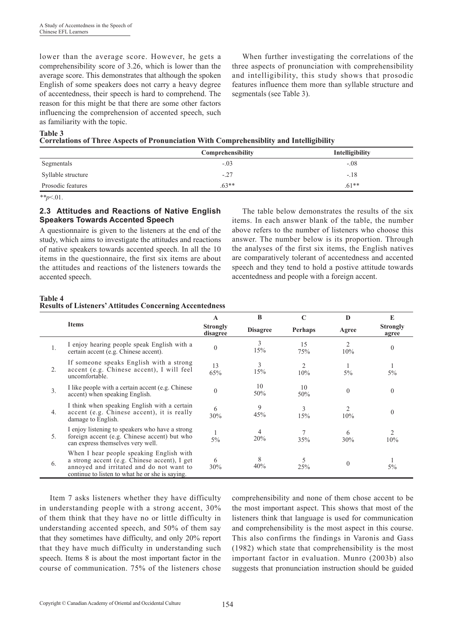lower than the average score. However, he gets a comprehensibility score of 3.26, which is lower than the average score. This demonstrates that although the spoken English of some speakers does not carry a heavy degree of accentedness, their speech is hard to comprehend. The reason for this might be that there are some other factors influencing the comprehension of accented speech, such as familiarity with the topic.

When further investigating the correlations of the three aspects of pronunciation with comprehensibility and intelligibility, this study shows that prosodic features influence them more than syllable structure and segmentals (see Table 3).

#### **Table 3**

|                    | Comprehensibility | Intelligibility |
|--------------------|-------------------|-----------------|
| Segmentals         | $-.03$            | $-.08$          |
| Syllable structure | $-.27$            | $-.18$          |
| Prosodic features  | $.63**$           | $.61**$         |

*\*\*p*<.01.

#### **2.3 Attitudes and Reactions of Native English Speakers Towards Accented Speech**

A questionnaire is given to the listeners at the end of the study, which aims to investigate the attitudes and reactions of native speakers towards accented speech. In all the 10 items in the questionnaire, the first six items are about the attitudes and reactions of the listeners towards the accented speech.

The table below demonstrates the results of the six items. In each answer blank of the table, the number above refers to the number of listeners who choose this answer. The number below is its proportion. Through the analyses of the first six items, the English natives are comparatively tolerant of accentedness and accented speech and they tend to hold a postive attitude towards accentedness and people with a foreign accent.

#### **Table 4 Results of Listeners' Attitudes Concerning Accentedness**

|                |                                                                                                                                                                                         | A         | B               | $\mathbf C$    | D              | E                        |
|----------------|-----------------------------------------------------------------------------------------------------------------------------------------------------------------------------------------|-----------|-----------------|----------------|----------------|--------------------------|
|                | <b>Items</b>                                                                                                                                                                            |           | <b>Disagree</b> | <b>Perhaps</b> | Agree          | <b>Strongly</b><br>agree |
|                | I enjoy hearing people speak English with a<br>certain accent (e.g. Chinese accent).                                                                                                    | $\theta$  | 3<br>15%        | 15<br>75%      | 10%            | $\theta$                 |
| $2$ .          | If someone speaks English with a strong<br>accent (e.g. Chinese accent), I will feel<br>uncomfortable.                                                                                  | 13<br>65% | 3<br>15%        | 10%            | $5\%$          | $5\%$                    |
| 3 <sub>1</sub> | I like people with a certain accent (e.g. Chinese)<br>accent) when speaking English.                                                                                                    | $\Omega$  | 10<br>50%       | 10<br>50%      | $\theta$       | $\theta$                 |
| 4.             | I think when speaking English with a certain<br>accent (e.g. Chinese accent), it is really<br>damage to English.                                                                        | 6<br>30%  | 9<br>45%        | 3<br>15%       | 2<br>10%       | $\theta$                 |
| 5.             | I enjoy listening to speakers who have a strong<br>foreign accent (e.g. Chinese accent) but who<br>can express themselves very well.                                                    | $5\%$     | 4<br>20%        | 35%            | 6<br>30%       | 2<br>10%                 |
| 6.             | When I hear people speaking English with<br>a strong accent (e.g. Chinese accent), I get<br>annoyed and irritated and do not want to<br>continue to listen to what he or she is saying. | 6<br>30%  | 8<br>40%        | 5<br>25%       | $\overline{0}$ | 5%                       |

Item 7 asks listeners whether they have difficulty in understanding people with a strong accent, 30% of them think that they have no or little difficulty in understanding accented speech, and 50% of them say that they sometimes have difficulty, and only 20% report that they have much difficulty in understanding such speech. Items 8 is about the most important factor in the course of communication. 75% of the listeners chose

comprehensibility and none of them chose accent to be the most important aspect. This shows that most of the listeners think that language is used for communication and comprehensibility is the most aspect in this course. This also confirms the findings in Varonis and Gass (1982) which state that comprehensibility is the most important factor in evaluation. Munro (2003b) also suggests that pronunciation instruction should be guided